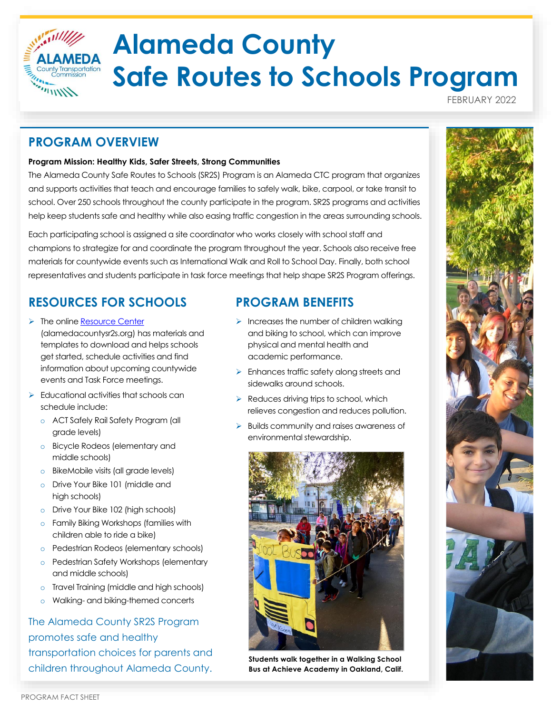

# **Alameda County Safe Routes to Schools Program**

FEBRUARY 2022

#### **PROGRAM OVERVIEW**

#### **Program Mission: Healthy Kids, Safer Streets, Strong Communities**

The Alameda County Safe Routes to Schools (SR2S) Program is an Alameda CTC program that organizes and supports activities that teach and encourage families to safely walk, bike, carpool, or take transit to school. Over 250 schools throughout the county participate in the program. SR2S programs and activities help keep students safe and healthy while also easing traffic congestion in the areas surrounding schools.

Each participating school is assigned a site coordinator who works closely with school staff and champions to strategize for and coordinate the program throughout the year. Schools also receive free materials for countywide events such as International Walk and Roll to School Day. Finally, both school representatives and students participate in task force meetings that help shape SR2S Program offerings.

## **RESOURCES FOR SCHOOLS**

- ➢ The online [Resource Center](http://alamedacountysr2s.org/connect-with-us/) (alamedacountysr2s.org) has materials and templates to download and helps schools get started, schedule activities and find information about upcoming countywide events and Task Force meetings.
- $\triangleright$  Educational activities that schools can schedule include:
	- o ACT Safely Rail Safety Program (all grade levels)
	- o Bicycle Rodeos (elementary and middle schools)
	- o BikeMobile visits (all grade levels)
	- o Drive Your Bike 101 (middle and high schools)
	- o Drive Your Bike 102 (high schools)
	- o Family Biking Workshops (families with children able to ride a bike)
	- o Pedestrian Rodeos (elementary schools)
	- o Pedestrian Safety Workshops (elementary and middle schools)
	- o Travel Training (middle and high schools)
	- o Walking- and biking-themed concerts

#### The Alameda County SR2S Program promotes safe and healthy transportation choices for parents and children throughout Alameda County.

#### **PROGRAM BENEFITS**

- $\triangleright$  Increases the number of children walking and biking to school, which can improve physical and mental health and academic performance.
- ➢ Enhances traffic safety along streets and sidewalks around schools.
- $\triangleright$  Reduces driving trips to school, which relieves congestion and reduces pollution.
- ➢ Builds community and raises awareness of environmental stewardship.



**Students walk together in a Walking School Bus at Achieve Academy in Oakland, Calif.**